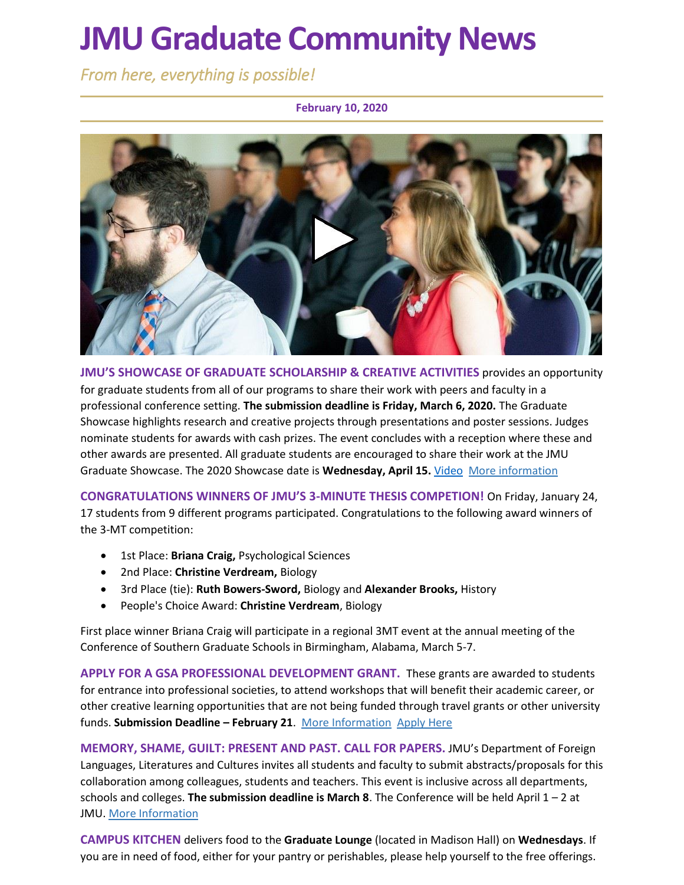# **JMU Graduate Community News**

*From here, everything is possible!* 

**February 10, 2020**



**JMU'S SHOWCASE OF GRADUATE SCHOLARSHIP & CREATIVE ACTIVITIES** provides an opportunity for graduate students from all of our programs to share their work with peers and faculty in a professional conference setting. **The submission deadline is Friday, March 6, 2020.** The Graduate Showcase highlights research and creative projects through presentations and poster sessions. Judges nominate students for awards with cash prizes. The event concludes with a reception where these and other awards are presented. All graduate students are encouraged to share their work at the JMU Graduate Showcase. The 2020 Showcase date is **Wednesday, April 15.** [Video](https://www.youtube.com/watch?v=OpSlu6h6BEI) [More information](https://www.jmu.edu/grad/GraduateShowcase/index.shtml)

**CONGRATULATIONS WINNERS OF JMU'S 3-MINUTE THESIS COMPETION!** On Friday, January 24, 17 students from 9 different programs participated. Congratulations to the following award winners of the 3-MT competition:

- 1st Place: **Briana Craig,** Psychological Sciences
- 2nd Place: **Christine Verdream,** Biology
- 3rd Place (tie): **Ruth Bowers-Sword,** Biology and **Alexander Brooks,** History
- People's Choice Award: **Christine Verdream**, Biology

First place winner Briana Craig will participate in a regional 3MT event at the annual meeting of the Conference of Southern Graduate Schools in Birmingham, Alabama, March 5-7.

**APPLY FOR A GSA PROFESSIONAL DEVELOPMENT GRANT.** These grants are awarded to students for entrance into professional societies, to attend workshops that will benefit their academic career, or other creative learning opportunities that are not being funded through travel grants or other university funds. **Submission Deadline – February 21**. [More Information](https://www.jmu.edu/grad/graduate-student-life/gsa.shtml) [Apply Here](https://docs.google.com/forms/d/e/1FAIpQLScwtgToI_IunPgLSHOv8H3wBZDVUhNKlVOil9IMbWxhaHFeFQ/viewform)

**MEMORY, SHAME, GUILT: PRESENT AND PAST. CALL FOR PAPERS.** JMU's Department of Foreign Languages, Literatures and Cultures invites all students and faculty to submit abstracts/proposals for this collaboration among colleagues, students and teachers. This event is inclusive across all departments, schools and colleges. **The submission deadline is March 8**. The Conference will be held April 1 – 2 at JMU. [More Information](https://www.jmu.edu/forlang/conferenceFLLC/call.shtml)

**CAMPUS KITCHEN** delivers food to the **Graduate Lounge** (located in Madison Hall) on **Wednesdays**. If you are in need of food, either for your pantry or perishables, please help yourself to the free offerings.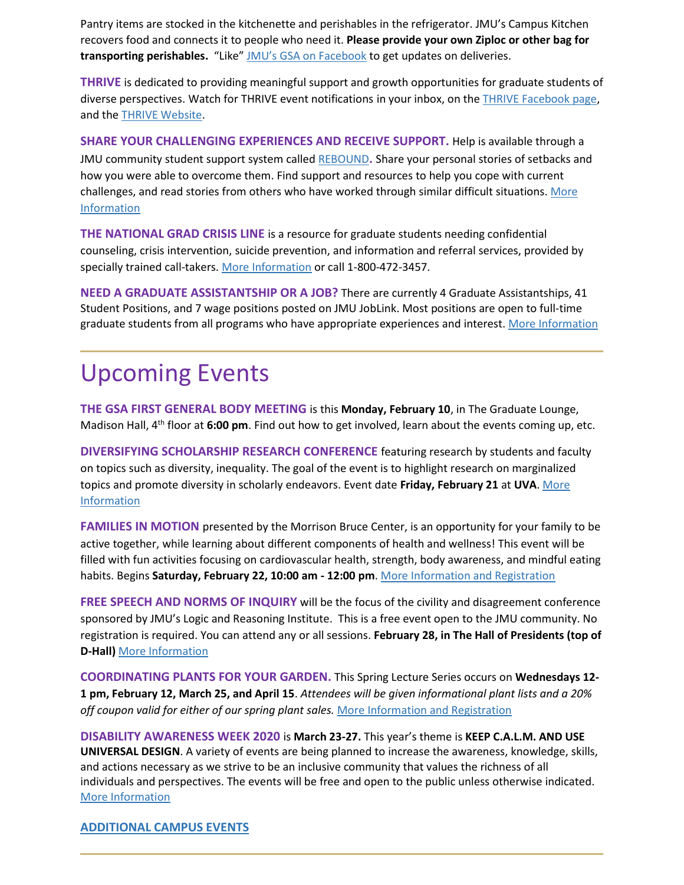Pantry items are stocked in the kitchenette and perishables in the refrigerator. JMU's Campus Kitchen recovers food and connects it to people who need it. **Please provide your own Ziploc or other bag for transporting perishables.** "Like" [JMU's GSA on Facebook](https://www.facebook.com/JMUGSA/) to get updates on deliveries.

**THRIVE** is dedicated to providing meaningful support and growth opportunities for graduate students of diverse perspectives. Watch for THRIVE event notifications in your inbox, on the [THRIVE Facebook page,](https://www.facebook.com/ThriveJMU) and th[e THRIVE Website.](https://www.jmu.edu/grad/THRIVE/)

**SHARE YOUR CHALLENGING EXPERIENCES AND RECEIVE SUPPORT.** Help is available through a JMU community student support system called [REBOUND](https://sites.lib.jmu.edu/rebound/)**.** Share your personal stories of setbacks and how you were able to overcome them. Find support and resources to help you cope with current challenges, and read stories from others who have worked through similar difficult situations[. More](https://sites.lib.jmu.edu/rebound/)  [Information](https://sites.lib.jmu.edu/rebound/)

**THE NATIONAL GRAD CRISIS LINE** is a resource for graduate students needing confidential counseling, crisis intervention, suicide prevention, and information and referral services, provided by specially trained call-takers. [More Information](http://gradresources.org/crisis/) or call 1-800-472-3457.

**NEED A GRADUATE ASSISTANTSHIP OR A JOB?** There are currently 4 Graduate Assistantships, 41 Student Positions, and 7 wage positions posted on JMU JobLink. Most positions are open to full-time graduate students from all programs who have appropriate experiences and interest. [More Information](https://joblink.jmu.edu/)

## Upcoming Events

**THE GSA FIRST GENERAL BODY MEETING** is this **Monday, February 10**, in The Graduate Lounge, Madison Hall, 4th floor at **6:00 pm**. Find out how to get involved, learn about the events coming up, etc.

**DIVERSIFYING SCHOLARSHIP RESEARCH CONFERENCE** featuring research by students and faculty on topics such as diversity, inequality. The goal of the event is to highlight research on marginalized topics and promote diversity in scholarly endeavors. Event date **Friday, February 21** at **UVA**[. More](https://uva.theopenscholar.com/diversifyingscholarship)  [Information](https://uva.theopenscholar.com/diversifyingscholarship)

**FAMILIES IN MOTION** presented by the Morrison Bruce Center, is an opportunity for your family to be active together, while learning about different components of health and wellness! This event will be filled with fun activities focusing on cardiovascular health, strength, body awareness, and mindful eating habits. Begins **Saturday, February 22, 10:00 am - 12:00 pm**[. More Information and Registration](https://www.jmu.edu/kinesiology/cppagw/fim.html)

**FREE SPEECH AND NORMS OF INQUIRY** will be the focus of the civility and disagreement conference sponsored by JMU's Logic and Reasoning Institute. This is a free event open to the JMU community. No registration is required. You can attend any or all sessions. **February 28, in The Hall of Presidents (top of D-Hall)** [More Information](https://www.jmu.edu/news/philrel/2020/02-03-civility-and-disagreement-conference.shtml)

**COORDINATING PLANTS FOR YOUR GARDEN.** This Spring Lecture Series occurs on **Wednesdays 12- 1 pm, February 12, March 25, and April 15**. *Attendees will be given informational plant lists and a 20% off coupon valid for either of our spring plant sales.* [More Information and Registration](https://docs.google.com/forms/d/e/1FAIpQLScXNFKPTfoVBNKpSN7EVaOAt6jzzD9W83So4F8u1A2i-1iWog/viewform)

**DISABILITY AWARENESS WEEK 2020** is **March 23-27.** This year's theme is **KEEP C.A.L.M. AND USE UNIVERSAL DESIGN**. A variety of events are being planned to increase the awareness, knowledge, skills, and actions necessary as we strive to be an inclusive community that values the richness of all individuals and perspectives. The events will be free and open to the public unless otherwise indicated. [More Information](https://www.jmu.edu/ods/daw/)

#### **[ADDITIONAL CAMPUS EVENTS](https://www.jmu.edu/events/)**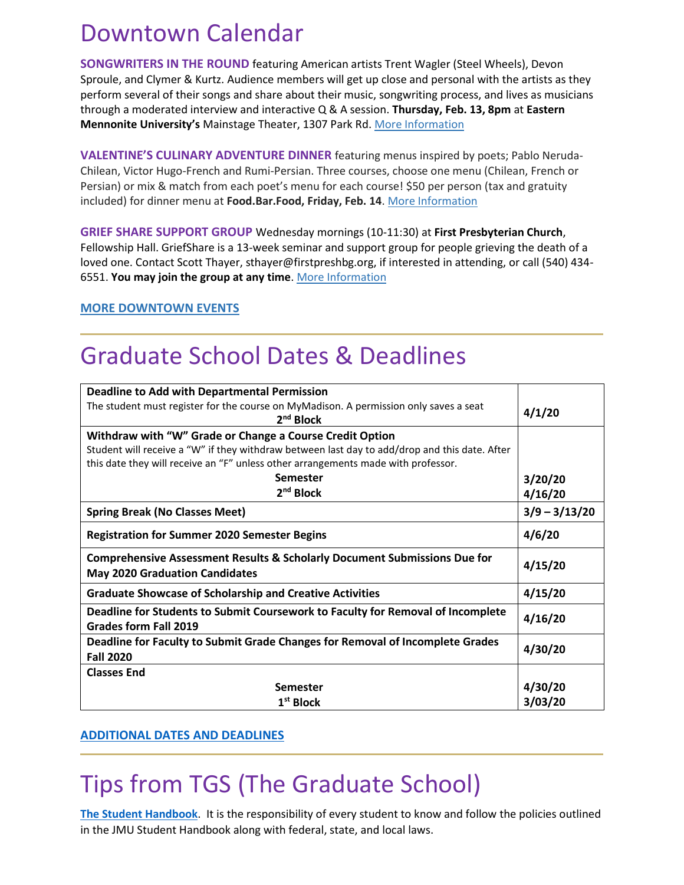### Downtown Calendar

**SONGWRITERS IN THE ROUND** featuring American artists Trent Wagler (Steel Wheels), Devon Sproule, and Clymer & Kurtz. Audience members will get up close and personal with the artists as they perform several of their songs and share about their music, songwriting process, and lives as musicians through a moderated interview and interactive Q & A session. **Thursday, Feb. 13, 8pm** at **Eastern Mennonite University's** Mainstage Theater, 1307 Park Rd. [More Information](https://emu.edu/music/events-and-performances)

**VALENTINE'S CULINARY ADVENTURE DINNER** featuring menus inspired by poets; Pablo Neruda-Chilean, Victor Hugo-French and Rumi-Persian. Three courses, choose one menu (Chilean, French or Persian) or mix & match from each poet's menu for each course! \$50 per person (tax and gratuity included) for dinner menu at **Food.Bar.Food, Friday, Feb. 14**. [More Information](https://www.foodbarfood.com/)

**GRIEF SHARE SUPPORT GROUP** Wednesday mornings (10-11:30) at **First Presbyterian Church**, Fellowship Hall. GriefShare is a 13-week seminar and support group for people grieving the death of a loved one. Contact Scott Thayer, sthayer@firstpreshbg.org, if interested in attending, or call (540) 434- 6551. **You may join the group at any time**. [More Information](https://www.facebook.com/events/3204212222925601/)

#### **[MORE DOWNTOWN EVENTS](https://www.visitharrisonburgva.com/calendar-of-events/)**

### Graduate School Dates & Deadlines

| <b>Deadline to Add with Departmental Permission</b>                                                                           |                 |
|-------------------------------------------------------------------------------------------------------------------------------|-----------------|
| The student must register for the course on MyMadison. A permission only saves a seat<br>2 <sup>nd</sup> Block                | 4/1/20          |
| Withdraw with "W" Grade or Change a Course Credit Option                                                                      |                 |
| Student will receive a "W" if they withdraw between last day to add/drop and this date. After                                 |                 |
| this date they will receive an "F" unless other arrangements made with professor.                                             |                 |
| <b>Semester</b>                                                                                                               | 3/20/20         |
| 2 <sup>nd</sup> Block                                                                                                         | 4/16/20         |
| <b>Spring Break (No Classes Meet)</b>                                                                                         | $3/9 - 3/13/20$ |
| <b>Registration for Summer 2020 Semester Begins</b>                                                                           | 4/6/20          |
| <b>Comprehensive Assessment Results &amp; Scholarly Document Submissions Due for</b><br><b>May 2020 Graduation Candidates</b> | 4/15/20         |
| <b>Graduate Showcase of Scholarship and Creative Activities</b>                                                               | 4/15/20         |
|                                                                                                                               | 4/16/20         |
| Deadline for Students to Submit Coursework to Faculty for Removal of Incomplete<br>Grades form Fall 2019                      |                 |
| Deadline for Faculty to Submit Grade Changes for Removal of Incomplete Grades<br><b>Fall 2020</b>                             | 4/30/20         |
| <b>Classes End</b>                                                                                                            |                 |
| <b>Semester</b>                                                                                                               | 4/30/20         |

#### **[ADDITIONAL DATES AND DEADLINES](https://www.jmu.edu/grad/grad-community/Graduate-Dates-and-Deadlines.pdf)**

### Tips from TGS (The Graduate School)

**The Student Handbook**. It is the responsibility of every student to know and follow the policies outlined in the JMU Student Handbook along with federal, state, and local laws.